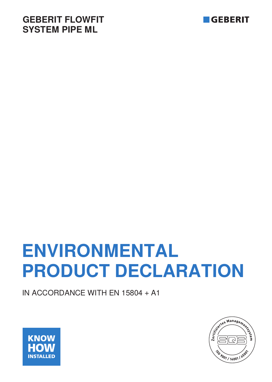## **GEBERIT FLOWFIT SYSTEM PIPE ML**



# **ENVIRONMENTAL PRODUCT DECLARATION**

IN ACCORDANCE WITH EN 15804 + A1



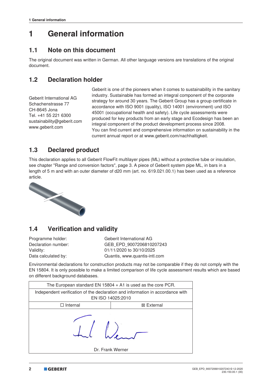## **1 General information**

#### **1.1 Note on this document**

The original document was written in German. All other language versions are translations of the original document.

#### **1.2 Declaration holder**

Geberit International AG Schachenstrasse 77 CH-8645 Jona Tel. +41 55 221 6300 sustainability@geberit.com www.geberit.com

Geberit is one of the pioneers when it comes to sustainability in the sanitary industry. Sustainable has formed an integral component of the corporate strategy for around 30 years. The Geberit Group has a group certificate in accordance with ISO 9001 (quality), ISO 14001 (environment) und ISO 45001 (occupational health and safety). Life cycle assessments were produced for key products from an early stage and Ecodesign has been an integral component of the product development process since 2008. You can find current and comprehensive information on sustainability in the current annual report or at www.geberit.com/nachhaltigkeit.

#### **1.3 Declared product**

This declaration applies to all Geberit FlowFit multilayer pipes (ML) without a protective tube or insulation, see chapter "Range and conversion factors", page 3. A piece of Geberit system pipe ML, in bars in a length of 5 m and with an outer diameter of d20 mm (art. no. 619.021.00.1) has been used as a reference article.



#### **1.4 Verification and validity**

Programme holder: Geberit International AG Declaration number: GEB\_EPD\_9007206810207243 Validity: 01/11/2020 to 30/10/2025 Data calculated by: Quantis, www.quantis-intl.com

Environmental declarations for construction products may not be comparable if they do not comply with the EN 15804. It is only possible to make a limited comparison of life cycle assessment results which are based on different background databases.

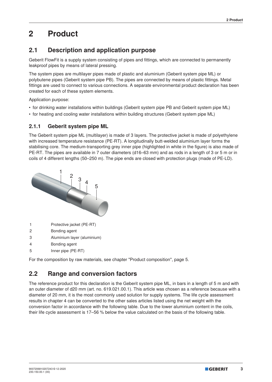## **2 Product**

#### **2.1 Description and application purpose**

Geberit FlowFit is a supply system consisting of pipes and fittings, which are connected to permanently leakproof pipes by means of lateral pressing.

The system pipes are multilayer pipes made of plastic and aluminium (Geberit system pipe ML) or polybutene pipes (Geberit system pipe PB). The pipes are connected by means of plastic fittings. Metal fittings are used to connect to various connections. A separate environmental product declaration has been created for each of these system elements.

Application purpose:

- for drinking water installations within buildings (Geberit system pipe PB and Geberit system pipe ML)
- for heating and cooling water installations within building structures (Geberit system pipe ML)

#### **2.1.1 Geberit system pipe ML**

The Geberit system pipe ML (multilayer) is made of 3 layers. The protective jacket is made of polyethylene with increased temperature resistance (PE-RT). A longitudinally butt-welded aluminium layer forms the stabilising core. The medium-transporting grey inner pipe (highlighted in white in the figure) is also made of PE-RT. The pipes are available in 7 outer diameters (d16–63 mm) and as rods in a length of 3 or 5 m or in coils of 4 different lengths (50–250 m). The pipe ends are closed with protection plugs (made of PE-LD).



- 1 Protective jacket (PE-RT)
- 2 Bonding agent
- 3 Aluminium layer (aluminium)
- 4 Bonding agent
- 5 Inner pipe (PE-RT)

For the composition by raw materials, see chapter "Product composition", page 5.

#### **2.2 Range and conversion factors**

The reference product for this declaration is the Geberit system pipe ML, in bars in a length of 5 m and with an outer diameter of d20 mm (art. no. 619.021.00.1). This article was chosen as a reference because with a diameter of 20 mm, it is the most commonly used solution for supply systems. The life cycle assessment results in chapter 4 can be converted to the other sales articles listed using the net weight with the conversion factor in accordance with the following table. Due to the lower aluminium content in the coils, their life cycle assessment is 17–56 % below the value calculated on the basis of the following table.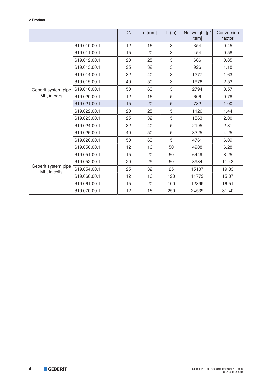|                                     |              | <b>DN</b> | $d$ [mm] | L(m) | Net weight [g/<br>item] | Conversion<br>factor |
|-------------------------------------|--------------|-----------|----------|------|-------------------------|----------------------|
|                                     | 619.010.00.1 | 12        | 16       | 3    | 354                     | 0.45                 |
|                                     | 619.011.00.1 | 15        | 20       | 3    | 454                     | 0.58                 |
|                                     | 619.012.00.1 | 20        | 25       | 3    | 666                     | 0.85                 |
|                                     | 619.013.00.1 | 25        | 32       | 3    | 926                     | 1.18                 |
|                                     | 619.014.00.1 | 32        | 40       | 3    | 1277                    | 1.63                 |
|                                     | 619.015.00.1 | 40        | 50       | 3    | 1976                    | 2.53                 |
| Geberit system pipe                 | 619.016.00.1 | 50        | 63       | 3    | 2794                    | 3.57                 |
| ML, in bars                         | 619.020.00.1 | 12        | 16       | 5    | 606                     | 0.78                 |
|                                     | 619.021.00.1 | 15        | 20       | 5    | 782                     | 1.00                 |
|                                     | 619.022.00.1 | 20        | 25       | 5    | 1126                    | 1.44                 |
|                                     | 619.023.00.1 | 25        | 32       | 5    | 1563                    | 2.00                 |
|                                     | 619.024.00.1 | 32        | 40       | 5    | 2195                    | 2.81                 |
|                                     | 619.025.00.1 | 40        | 50       | 5    | 3325                    | 4.25                 |
|                                     | 619.026.00.1 | 50        | 63       | 5    | 4761                    | 6.09                 |
|                                     | 619.050.00.1 | 12        | 16       | 50   | 4908                    | 6.28                 |
|                                     | 619.051.00.1 | 15        | 20       | 50   | 6449                    | 8.25                 |
| Geberit system pipe<br>ML, in coils | 619.052.00.1 | 20        | 25       | 50   | 8934                    | 11.43                |
|                                     | 619.054.00.1 | 25        | 32       | 25   | 15107                   | 19.33                |
|                                     | 619.060.00.1 | 12        | 16       | 120  | 11779                   | 15.07                |
|                                     | 619.061.00.1 | 15        | 20       | 100  | 12899                   | 16.51                |
|                                     | 619.070.00.1 | 12        | 16       | 250  | 24539                   | 31.40                |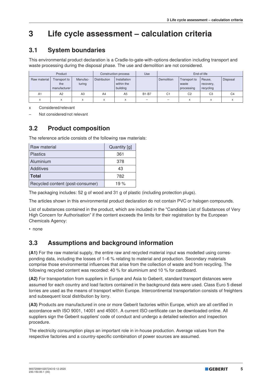## **3 Life cycle assessment – calculation criteria**

#### **3.1 System boundaries**

This environmental product declaration is a Cradle-to-gate-with-options declaration including transport and waste processing during the disposal phase. The use and demolition are not considered.

| Product        |                                     | Construction process |                     | Use                                    | End-of-life  |                |                                     |                                  |                |
|----------------|-------------------------------------|----------------------|---------------------|----------------------------------------|--------------|----------------|-------------------------------------|----------------------------------|----------------|
| Raw material   | Transport to<br>the<br>manufacturer | Manufac-<br>turing   | <b>Distribution</b> | Installation<br>within the<br>building |              | Demolition     | Transport to<br>waste<br>processing | Reuse,<br>recovery,<br>recycling | Disposal       |
| A <sub>1</sub> | A2                                  | A3                   | A4                  | A <sub>5</sub>                         | <b>B1-B7</b> | C <sub>1</sub> | C <sub>2</sub>                      | C <sub>3</sub>                   | C <sub>4</sub> |
| $\checkmark$   | $\checkmark$<br>A                   | $\checkmark$<br>ᄉ    | X                   | X                                      | -            | -              | X                                   | $\checkmark$                     |                |

x Considered/relevant

– Not considered/not relevant

#### **3.2 Product composition**

The reference article consists of the following raw materials:

| Raw material                     | Quantity [g] |
|----------------------------------|--------------|
| <b>Plastics</b>                  | 361          |
| Aluminium                        | 378          |
| <b>Additives</b>                 | 43           |
| <b>Total</b>                     | 782          |
| Recycled content (post-consumer) | 19 $%$       |

The packaging includes: 52 g of wood and 31 g of plastic (including protection plugs).

The articles shown in this environmental product declaration do not contain PVC or halogen compounds.

List of substances contained in the product, which are included in the "Candidate List of Substances of Very High Concern for Authorisation" if the content exceeds the limits for their registration by the European Chemicals Agency:

• none

#### **3.3 Assumptions and background information**

**(A1)** For the raw material supply, the entire raw and recycled material input was modelled using corresponding data, including the losses of 1–6 % relating to material and production. Secondary materials comprise those environmental influences that arise from the collection of waste and from recycling. The following recycled content was recorded: 40 % for aluminium and 10 % for cardboard.

**(A2)** For transportation from suppliers in Europe and Asia to Geberit, standard transport distances were assumed for each country and load factors contained in the background data were used. Class Euro 5 diesel lorries are used as the means of transport within Europe. Intercontinental transportation consists of freighters and subsequent local distribution by lorry.

**(A3)** Products are manufactured in one or more Geberit factories within Europe, which are all certified in accordance with ISO 9001, 14001 and 45001. A current ISO certificate can be downloaded online. All suppliers sign the Geberit suppliers' code of conduct and undergo a detailed selection and inspection procedure.

The electricity consumption plays an important role in in-house production. Average values from the respective factories and a country-specific combination of power sources are assumed.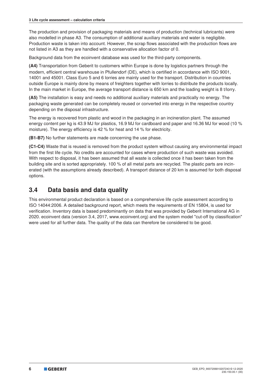The production and provision of packaging materials and means of production (technical lubricants) were also modelled in phase A3. The consumption of additional auxiliary materials and water is negligible. Production waste is taken into account. However, the scrap flows associated with the production flows are not listed in A3 as they are handled with a conservative allocation factor of 0.

Background data from the ecoinvent database was used for the third-party components.

**(A4)** Transportation from Geberit to customers within Europe is done by logistics partners through the modern, efficient central warehouse in Pfullendorf (DE), which is certified in accordance with ISO 9001, 14001 and 45001. Class Euro 5 and 6 lorries are mainly used for the transport. Distribution in countries outside Europe is mainly done by means of freighters together with lorries to distribute the products locally. In the main market in Europe, the average transport distance is 650 km and the loading weight is 8 t/lorry.

**(A5)** The installation is easy and needs no additional auxiliary materials and practically no energy. The packaging waste generated can be completely reused or converted into energy in the respective country depending on the disposal infrastructure.

The energy is recovered from plastic and wood in the packaging in an incineration plant. The assumed energy content per kg is 43.9 MJ for plastics, 16.9 MJ for cardboard and paper and 16.36 MJ for wood (10 % moisture). The energy efficiency is 42 % for heat and 14 % for electricity.

**(B1-B7)** No further statements are made concerning the use phase.

**(C1-C4)** Waste that is reused is removed from the product system without causing any environmental impact from the first life cycle. No credits are accounted for cases where production of such waste was avoided. With respect to disposal, it has been assumed that all waste is collected once it has been taken from the building site and is sorted appropriately. 100 % of all metal parts are recycled. The plastic parts are incinerated (with the assumptions already described). A transport distance of 20 km is assumed for both disposal options.

#### **3.4 Data basis and data quality**

This environmental product declaration is based on a comprehensive life cycle assessment according to ISO 14044:2006. A detailed background report, which meets the requirements of EN 15804, is used for verification. Inventory data is based predominantly on data that was provided by Geberit International AG in 2020. ecoinvent data (version 3.4, 2017, www.ecoinvent.org) and the system model "cut-off by classification" were used for all further data. The quality of the data can therefore be considered to be good.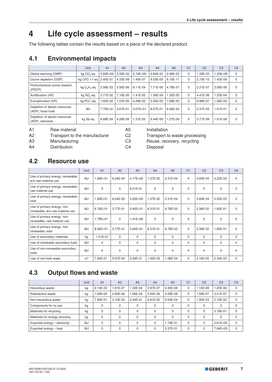## **4 Life cycle assessment – results**

The following tables contain the results based on a piece of the declared product.

#### **4.1 Environmental impacts**

|                                                       | Unit                   | A <sub>1</sub> | A2       | A3           | A4         | A <sub>5</sub> | C <sub>1</sub> | C <sub>2</sub> | C <sub>3</sub> | C <sub>4</sub> |
|-------------------------------------------------------|------------------------|----------------|----------|--------------|------------|----------------|----------------|----------------|----------------|----------------|
| Global warming (GWP)                                  | kg CO <sub>2</sub> -eg | $5.69E + 00$   | 2.20E-02 | $2.74E + 00$ | 4.84E-02   | 2.98E-02       | 0              | 1.39E-03       | $1.25E + 00$   | $\mathbf 0$    |
| Ozone depletion (ODP)                                 | ka CFC-11-ea           | 2.40E-07       | 4.33E-09 | L40E-07      | 9.53E-09   | 8.10E-11       | $\Omega$       | 2.73E-10       | 1.43E-09       | 0              |
| Photochemical ozone creation<br>(POCP)                | kg $C_2H_4$ -eq        | 2.56E-03       | 3.50E-06 | $9.11E-04$   | 7.71E-06   | 4.78E-07       | $\Omega$       | 2.21E-07       | 2.08E-06       | $\Omega$       |
| Acidification (AP)                                    | kg SO <sub>2</sub> -eq | 3.71E-02       | 7.10E-05 | $.41E-02$    | 1.56E-04   | $.32E - 05$    | $\Omega$       | 4.47E-06       | 1.23E-04       | 0              |
| Eutrophication (EP)                                   | kg $PO43$ -eg          | $.82E - 02$    | 1.57E-05 | 4.29E-03     | 3.45E-05   | $.68E - 05$    | $\Omega$       | 9.88E-07       | 1.04E-04       | $\mathbf 0$    |
| Depletion of abiotic resources<br>(ADP), fossil fuels | <b>MJ</b>              | 7.75E+01       | 3.67E-01 | $3.07E + 01$ | 8.07E-01   | 8.46E-03       | $\Omega$       | 2.31E-02       | 1.61E-01       | $\Omega$       |
| Depletion of abiotic resources<br>(ADP), elements     | kg Sb-eg               | 6.88E-04       | 4.29E-08 | 1.31E-05     | $9.44E-08$ | 1.27E-09       | $\Omega$       | 2.71E-09       | 1.61E-08       | $\Omega$       |

A1 Raw material A5 Installation

A2 Transport to the manufacturer C2 Transport to waste processing

A4 Distribution C4 Disposal

A3 Manufacturing C3 Reuse, recovery, recycling

#### **4.2 Resource use**

|                                                                | Unit           | A <sub>1</sub> | A2         | A3           | A <sub>4</sub> | A <sub>5</sub> | C <sub>1</sub> | C <sub>2</sub> | C <sub>3</sub> | C <sub>4</sub> |
|----------------------------------------------------------------|----------------|----------------|------------|--------------|----------------|----------------|----------------|----------------|----------------|----------------|
| Use of primary energy, renewable,<br>w/o raw material use      | <b>MJ</b>      | $1.28E + 01$   | $6.24E-03$ | 4.17E+00     | 1.37E-02       | 2.31E-04       | $\mathbf 0$    | 3.93E-04       | 3.22E-03       | $\Omega$       |
| Use of primary energy, renewable,<br>raw material use          | MJ             | $\Omega$       | $\Omega$   | 8.51E-01     | $\mathbf 0$    | 0              | $\Omega$       | $\mathbf 0$    | 0              | $\mathbf 0$    |
| Use of primary energy, renewable,<br>total                     | <b>MJ</b>      | $1.28E + 01$   | 6.24E-03   | $5.02E + 00$ | 1.37E-02       | 2.31E-04       | $\mathbf 0$    | 3.93E-04       | 3.22E-03       | $\Omega$       |
| Use of primary energy, non-<br>renewable, w/o raw material use | MJ             | $6.78E + 01$   | 3.77E-01   | $3.45E + 01$ | 8.31E-01       | 8.76E-03       | $\Omega$       | 2.38E-02       | 1.65E-01       | $\Omega$       |
| Use of primary energy, non-<br>renewable, raw material use     | <b>MJ</b>      | $1.79E + 01$   | $\Omega$   | $1.41E + 00$ | $\Omega$       | $\Omega$       | $\Omega$       | $\Omega$       | $\Omega$       | $\Omega$       |
| Use of primary energy, non-<br>renewable, total                | <b>MJ</b>      | $8.56E + 01$   | 3.77E-01   | $3.60E + 01$ | 8.31E-01       | 8.76E-03       | $\Omega$       | 2.38E-02       | 1.65E-01       | $\Omega$       |
| Use of secondary materials                                     | kg             | 1.51E-01       | $\Omega$   | $\Omega$     | 0              | 0              | $\Omega$       | $\Omega$       | $\Omega$       | $\Omega$       |
| Use of renewable secondary fuels                               | MJ             | $\Omega$       | $\Omega$   | $\Omega$     | $\Omega$       | $\mathbf 0$    | $\Omega$       | $\Omega$       | $\Omega$       | $\Omega$       |
| Use of non-renewable secondary<br>fuels                        | MJ             | $\Omega$       | $\Omega$   | $\Omega$     | $\Omega$       | $\mathbf 0$    | $\Omega$       | $\Omega$       | $\Omega$       | $\Omega$       |
| Use of net fresh water                                         | m <sup>3</sup> | 7.26E-01       | 5.97E-04   | 3.09E-01     | 1.45E-03       | 1.06E-04       | $\mathbf 0$    | 4.16E-05       | 2.34E-03       | $\mathbf 0$    |

### **4.3 Output flows and waste**

|                               | Unit      | A <sub>1</sub> | A2       | A <sub>3</sub> | A <sub>4</sub> | A <sub>5</sub> | C <sub>1</sub> | C <sub>2</sub> | C <sub>3</sub> | C <sub>4</sub> |
|-------------------------------|-----------|----------------|----------|----------------|----------------|----------------|----------------|----------------|----------------|----------------|
| Hazardous waste               | kg        | 4.14E-03       | 1.81E-07 | 1.32E-04       | 3.97E-07       | 4.30E-08       | $\Omega$       | 1.14E-08       | 1.25E-06       | $\Omega$       |
| Radioactive waste             | kg        | .49E-04        | 2.50E-06 | 1.06E-04       | 5.50E-06       | 2.09E-08       | 0              | 1.58E-07       | 3.21E-07       | $\Omega$       |
| Non-hazardous waste           | kg        | 7.94E-01       | 3.10E-02 | 4.34E-01       | 6.81E-02       | 9.54E-04       | $\Omega$       | 1.95E-03       | 2.15E-02       | $\Omega$       |
| Components for re-use         | kg        | $\Omega$       |          |                | 0              | $\Omega$       | $\Omega$       | 0              | 0              |                |
| Materials for recycling       | kg        | $\Omega$       | $\Omega$ | 0              | 0              | $\Omega$       | $\Omega$       | $\Omega$       | 3.78E-01       | 0              |
| Materials for energy recovery | kg        | $\Omega$       | $\Omega$ | 0              | 0              | $\Omega$       | $\Omega$       | $\Omega$       | 0              |                |
| Exported energy - electricity | <b>MJ</b> | $\Omega$       | $\Omega$ | 0              | 0              | 1.79E-01       | $\Omega$       |                | $2.61E + 00$   | $\Omega$       |
| Exported energy - heat        | MJ.       | $\mathbf{0}$   | $\Omega$ | 0              | 0              | 5.37E-01       | $\Omega$       |                | 7.84E+00       | $\Omega$       |